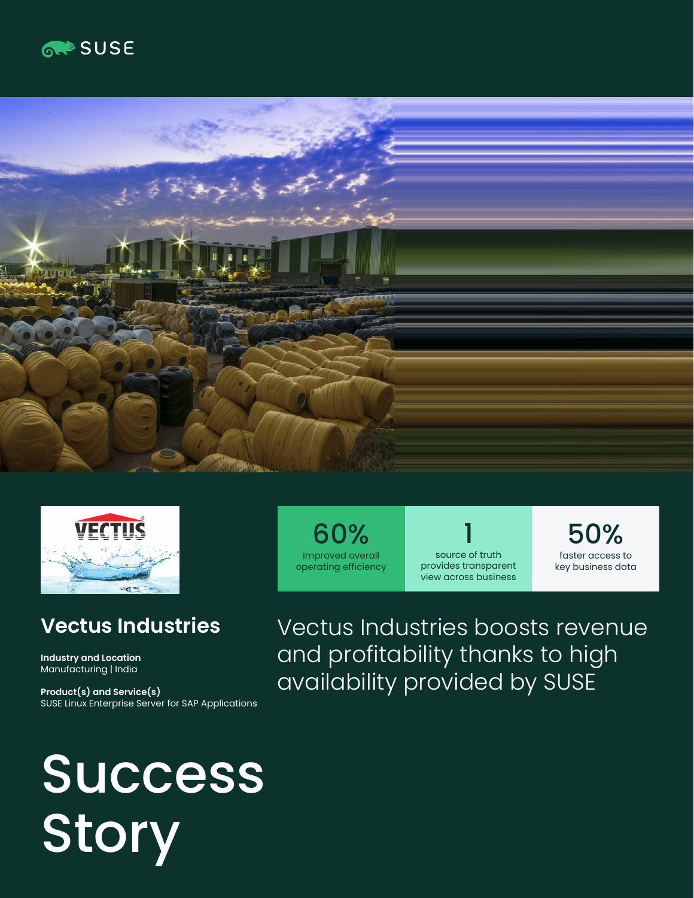





## **Vectus Industries**

**Industry and Location**  Manufacturing | India

**Product(s) and Service(s)** SUSE Linux Enterprise Server for SAP Applications

# Success Story

60% improved overall operating efficiency

1 source of truth provides transparent view across business

50% faster access to key business data

Vectus Industries boosts revenue and profitability thanks to high availability provided by SUSE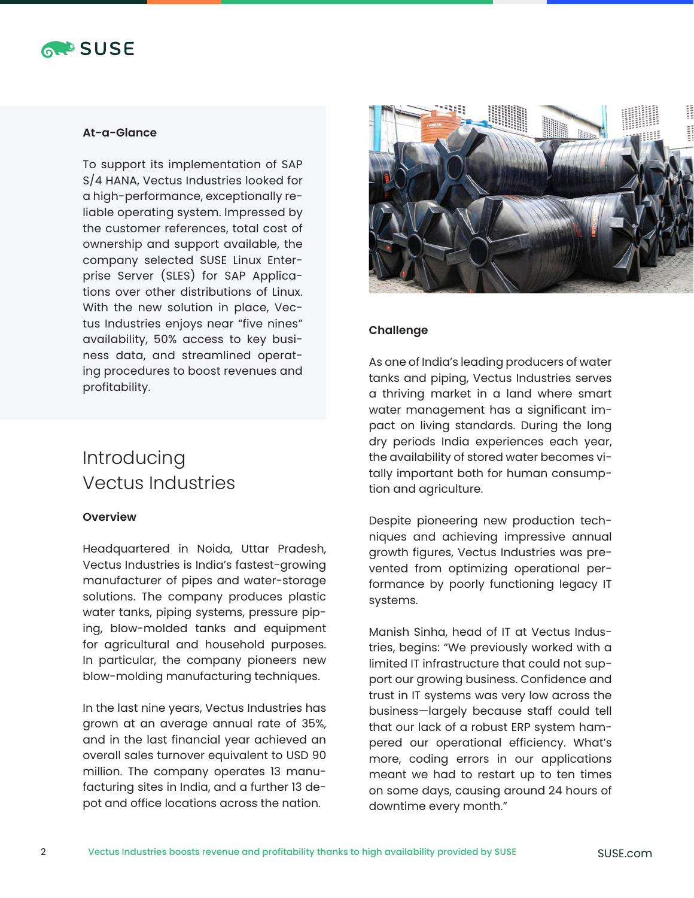

#### **At-a-Glance**

To support its implementation of SAP S/4 HANA, Vectus Industries looked for a high-performance, exceptionally reliable operating system. Impressed by the customer references, total cost of ownership and support available, the company selected SUSE Linux Enterprise Server (SLES) for SAP Applications over other distributions of Linux. With the new solution in place, Vectus Industries enjoys near "five nines" availability, 50% access to key business data, and streamlined operating procedures to boost revenues and profitability.

### Introducing Vectus Industries

#### **Overview**

Headquartered in Noida, Uttar Pradesh, Vectus Industries is India's fastest-growing manufacturer of pipes and water-storage solutions. The company produces plastic water tanks, piping systems, pressure piping, blow-molded tanks and equipment for agricultural and household purposes. In particular, the company pioneers new blow-molding manufacturing techniques.

In the last nine years, Vectus Industries has grown at an average annual rate of 35%, and in the last financial year achieved an overall sales turnover equivalent to USD 90 million. The company operates 13 manufacturing sites in India, and a further 13 depot and office locations across the nation.



#### **Challenge**

As one of India's leading producers of water tanks and piping, Vectus Industries serves a thriving market in a land where smart water management has a significant impact on living standards. During the long dry periods India experiences each year, the availability of stored water becomes vitally important both for human consumption and agriculture.

Despite pioneering new production techniques and achieving impressive annual growth figures, Vectus Industries was prevented from optimizing operational performance by poorly functioning legacy IT systems.

Manish Sinha, head of IT at Vectus Industries, begins: "We previously worked with a limited IT infrastructure that could not support our growing business. Confidence and trust in IT systems was very low across the business—largely because staff could tell that our lack of a robust ERP system hampered our operational efficiency. What's more, coding errors in our applications meant we had to restart up to ten times on some days, causing around 24 hours of downtime every month."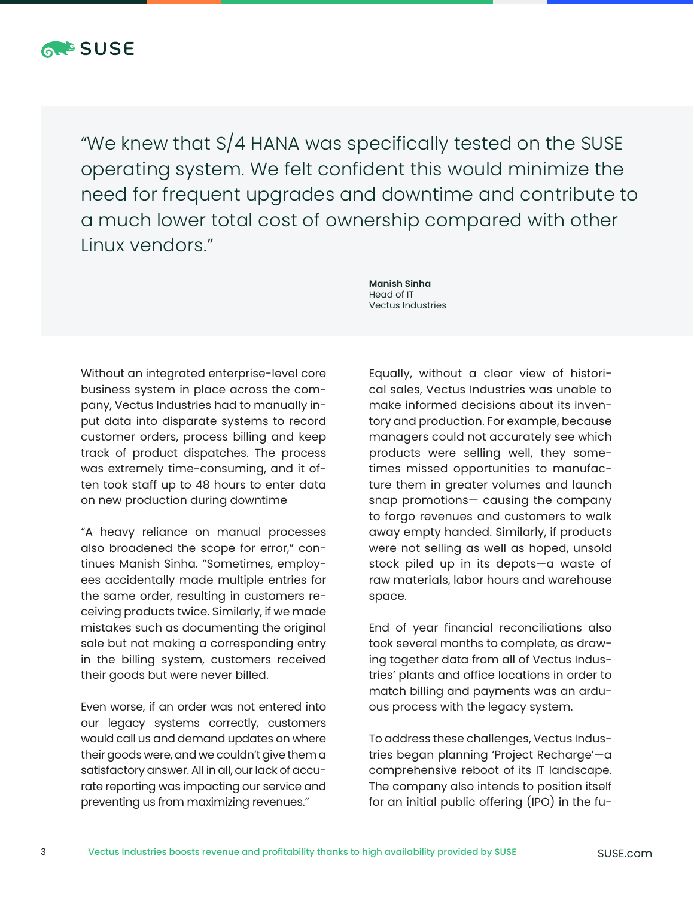

"We knew that S/4 HANA was specifically tested on the SUSE operating system. We felt confident this would minimize the need for frequent upgrades and downtime and contribute to a much lower total cost of ownership compared with other Linux vendors."

Without an integrated enterprise-level core business system in place across the company, Vectus Industries had to manually input data into disparate systems to record customer orders, process billing and keep track of product dispatches. The process was extremely time-consuming, and it often took staff up to 48 hours to enter data on new production during downtime

"A heavy reliance on manual processes also broadened the scope for error," continues Manish Sinha. "Sometimes, employees accidentally made multiple entries for the same order, resulting in customers receiving products twice. Similarly, if we made mistakes such as documenting the original sale but not making a corresponding entry in the billing system, customers received their goods but were never billed.

Even worse, if an order was not entered into our legacy systems correctly, customers would call us and demand updates on where their goods were, and we couldn't give them a satisfactory answer. All in all, our lack of accurate reporting was impacting our service and preventing us from maximizing revenues."

**Manish Sinha** Head of IT Vectus Industries

Equally, without a clear view of historical sales, Vectus Industries was unable to make informed decisions about its inventory and production. For example, because managers could not accurately see which products were selling well, they sometimes missed opportunities to manufacture them in greater volumes and launch snap promotions— causing the company to forgo revenues and customers to walk away empty handed. Similarly, if products were not selling as well as hoped, unsold stock piled up in its depots—a waste of raw materials, labor hours and warehouse space.

End of year financial reconciliations also took several months to complete, as drawing together data from all of Vectus Industries' plants and office locations in order to match billing and payments was an arduous process with the legacy system.

To address these challenges, Vectus Industries began planning 'Project Recharge'—a comprehensive reboot of its IT landscape. The company also intends to position itself for an initial public offering (IPO) in the fu-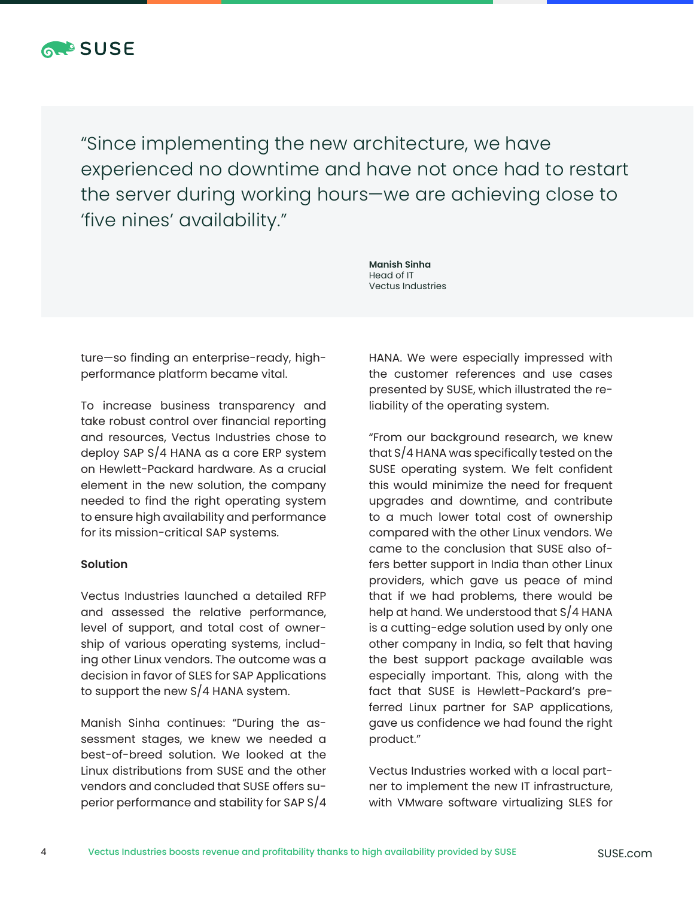

"Since implementing the new architecture, we have experienced no downtime and have not once had to restart the server during working hours—we are achieving close to 'five nines' availability."

> **Manish Sinha** Head of IT Vectus Industries

ture—so finding an enterprise-ready, highperformance platform became vital.

To increase business transparency and take robust control over financial reporting and resources, Vectus Industries chose to deploy SAP S/4 HANA as a core ERP system on Hewlett-Packard hardware. As a crucial element in the new solution, the company needed to find the right operating system to ensure high availability and performance for its mission-critical SAP systems.

#### **Solution**

Vectus Industries launched a detailed RFP and assessed the relative performance, level of support, and total cost of ownership of various operating systems, including other Linux vendors. The outcome was a decision in favor of SLES for SAP Applications to support the new S/4 HANA system.

Manish Sinha continues: "During the assessment stages, we knew we needed a best-of-breed solution. We looked at the Linux distributions from SUSE and the other vendors and concluded that SUSE offers superior performance and stability for SAP S/4 HANA. We were especially impressed with the customer references and use cases presented by SUSE, which illustrated the reliability of the operating system.

"From our background research, we knew that S/4 HANA was specifically tested on the SUSE operating system. We felt confident this would minimize the need for frequent upgrades and downtime, and contribute to a much lower total cost of ownership compared with the other Linux vendors. We came to the conclusion that SUSE also offers better support in India than other Linux providers, which gave us peace of mind that if we had problems, there would be help at hand. We understood that S/4 HANA is a cutting-edge solution used by only one other company in India, so felt that having the best support package available was especially important. This, along with the fact that SUSE is Hewlett-Packard's preferred Linux partner for SAP applications, gave us confidence we had found the right product."

Vectus Industries worked with a local partner to implement the new IT infrastructure, with VMware software virtualizing SLES for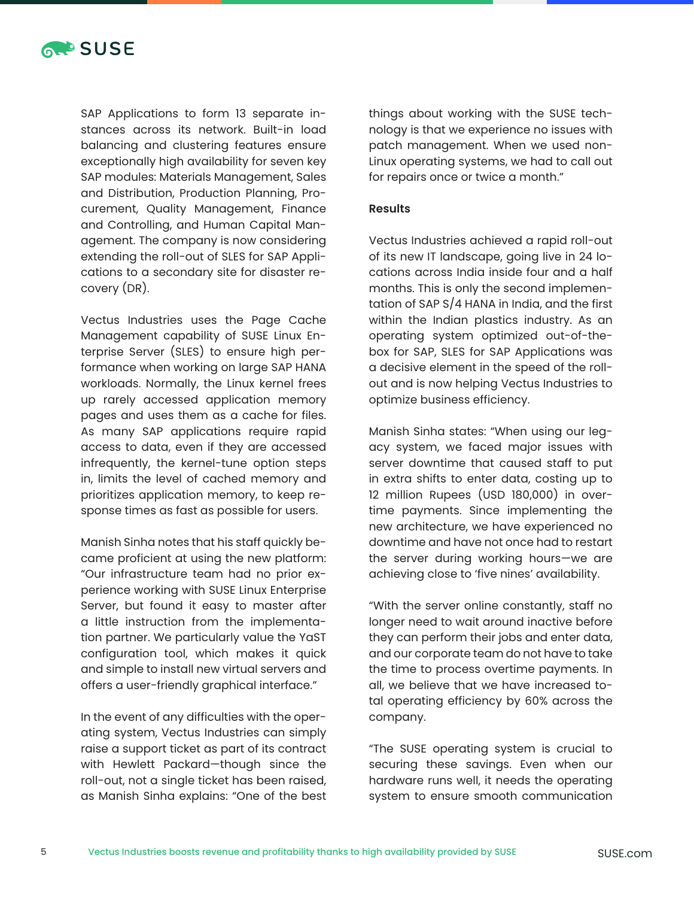

SAP Applications to form 13 separate instances across its network. Built-in load balancing and clustering features ensure exceptionally high availability for seven key SAP modules: Materials Management, Sales and Distribution, Production Planning, Procurement, Quality Management, Finance and Controlling, and Human Capital Management. The company is now considering extending the roll-out of SLES for SAP Applications to a secondary site for disaster recovery (DR).

Vectus Industries uses the Page Cache Management capability of SUSE Linux Enterprise Server (SLES) to ensure high performance when working on large SAP HANA workloads. Normally, the Linux kernel frees up rarely accessed application memory pages and uses them as a cache for files. As many SAP applications require rapid access to data, even if they are accessed infrequently, the kernel-tune option steps in, limits the level of cached memory and prioritizes application memory, to keep response times as fast as possible for users.

Manish Sinha notes that his staff quickly became proficient at using the new platform: "Our infrastructure team had no prior experience working with SUSE Linux Enterprise Server, but found it easy to master after a little instruction from the implementation partner. We particularly value the YaST configuration tool, which makes it quick and simple to install new virtual servers and offers a user-friendly graphical interface."

In the event of any difficulties with the operating system, Vectus Industries can simply raise a support ticket as part of its contract with Hewlett Packard—though since the roll-out, not a single ticket has been raised, as Manish Sinha explains: "One of the best things about working with the SUSE technology is that we experience no issues with patch management. When we used non-Linux operating systems, we had to call out for repairs once or twice a month."

#### **Results**

Vectus Industries achieved a rapid roll-out of its new IT landscape, going live in 24 locations across India inside four and a half months. This is only the second implementation of SAP S/4 HANA in India, and the first within the Indian plastics industry. As an operating system optimized out-of-thebox for SAP, SLES for SAP Applications was a decisive element in the speed of the rollout and is now helping Vectus Industries to optimize business efficiency.

Manish Sinha states: "When using our legacy system, we faced major issues with server downtime that caused staff to put in extra shifts to enter data, costing up to 12 million Rupees (USD 180,000) in overtime payments. Since implementing the new architecture, we have experienced no downtime and have not once had to restart the server during working hours—we are achieving close to 'five nines' availability.

"With the server online constantly, staff no longer need to wait around inactive before they can perform their jobs and enter data, and our corporate team do not have to take the time to process overtime payments. In all, we believe that we have increased total operating efficiency by 60% across the company.

"The SUSE operating system is crucial to securing these savings. Even when our hardware runs well, it needs the operating system to ensure smooth communication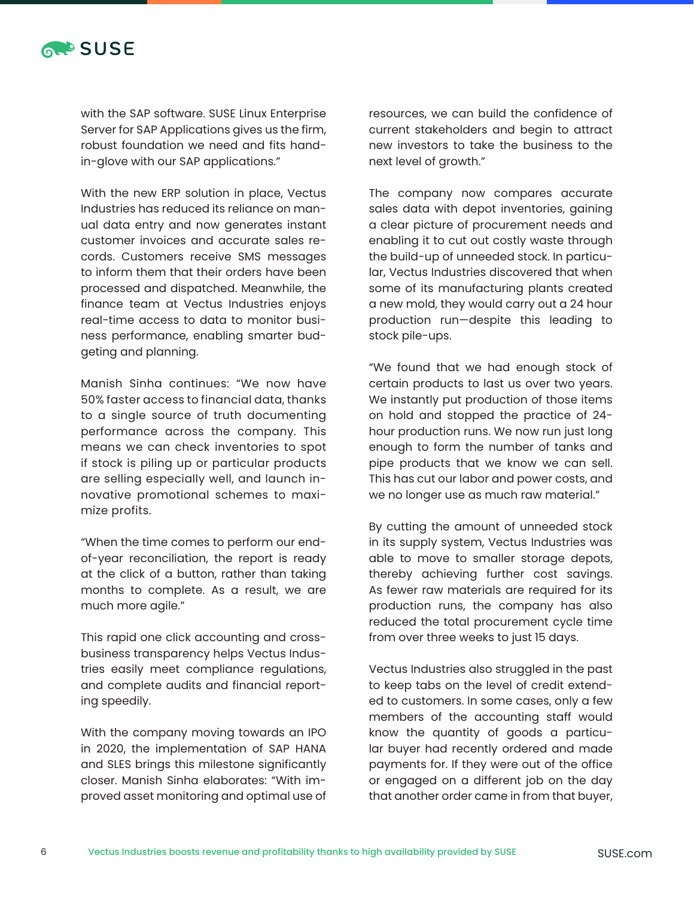

with the SAP software. SUSE Linux Enterprise Server for SAP Applications gives us the firm, robust foundation we need and fits handin-glove with our SAP applications."

With the new ERP solution in place, Vectus Industries has reduced its reliance on manual data entry and now generates instant customer invoices and accurate sales records. Customers receive SMS messages to inform them that their orders have been processed and dispatched. Meanwhile, the finance team at Vectus Industries enjoys real-time access to data to monitor business performance, enabling smarter budgeting and planning.

Manish Sinha continues: "We now have 50% faster access to financial data, thanks to a single source of truth documenting performance across the company. This means we can check inventories to spot if stock is piling up or particular products are selling especially well, and launch innovative promotional schemes to maximize profits.

"When the time comes to perform our endof-year reconciliation, the report is ready at the click of a button, rather than taking months to complete. As a result, we are much more agile."

This rapid one click accounting and crossbusiness transparency helps Vectus Industries easily meet compliance regulations, and complete audits and financial reporting speedily.

With the company moving towards an IPO in 2020, the implementation of SAP HANA and SLES brings this milestone significantly closer. Manish Sinha elaborates: "With improved asset monitoring and optimal use of

resources, we can build the confidence of current stakeholders and begin to attract new investors to take the business to the next level of growth."

The company now compares accurate sales data with depot inventories, gaining a clear picture of procurement needs and enabling it to cut out costly waste through the build-up of unneeded stock. In particular, Vectus Industries discovered that when some of its manufacturing plants created a new mold, they would carry out a 24 hour production run—despite this leading to stock pile-ups.

"We found that we had enough stock of certain products to last us over two years. We instantly put production of those items on hold and stopped the practice of 24 hour production runs. We now run just long enough to form the number of tanks and pipe products that we know we can sell. This has cut our labor and power costs, and we no longer use as much raw material."

By cutting the amount of unneeded stock in its supply system, Vectus Industries was able to move to smaller storage depots, thereby achieving further cost savings. As fewer raw materials are required for its production runs, the company has also reduced the total procurement cycle time from over three weeks to just 15 days.

Vectus Industries also struggled in the past to keep tabs on the level of credit extended to customers. In some cases, only a few members of the accounting staff would know the quantity of goods a particular buyer had recently ordered and made payments for. If they were out of the office or engaged on a different job on the day that another order came in from that buyer,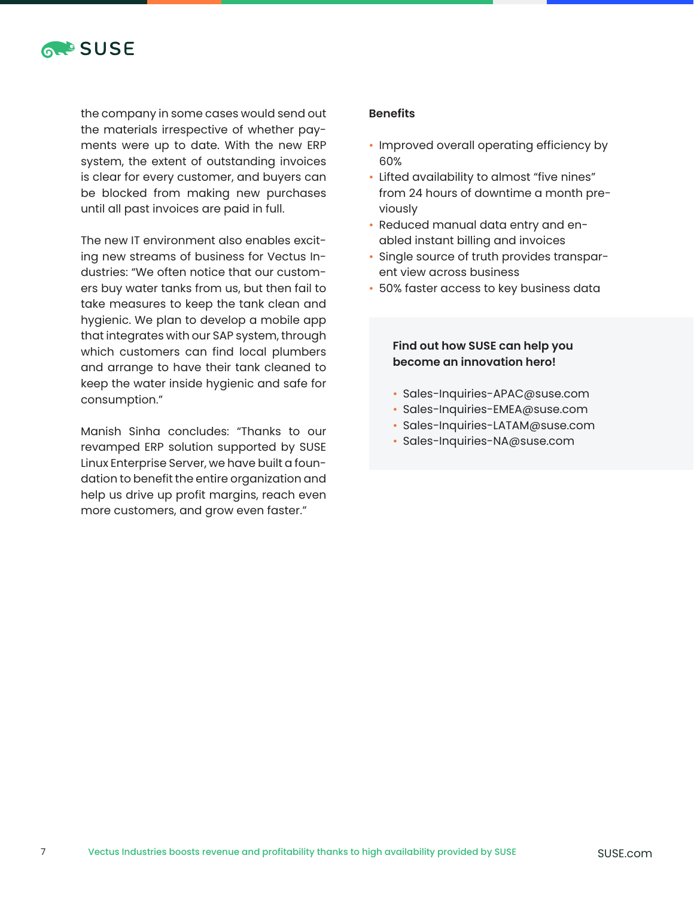

the company in some cases would send out the materials irrespective of whether payments were up to date. With the new ERP system, the extent of outstanding invoices is clear for every customer, and buyers can be blocked from making new purchases until all past invoices are paid in full.

The new IT environment also enables exciting new streams of business for Vectus Industries: "We often notice that our customers buy water tanks from us, but then fail to take measures to keep the tank clean and hygienic. We plan to develop a mobile app that integrates with our SAP system, through which customers can find local plumbers and arrange to have their tank cleaned to keep the water inside hygienic and safe for consumption."

Manish Sinha concludes: "Thanks to our revamped ERP solution supported by SUSE Linux Enterprise Server, we have built a foundation to benefit the entire organization and help us drive up profit margins, reach even more customers, and grow even faster."

#### **Benefits**

- Improved overall operating efficiency by 60%
- Lifted availability to almost "five nines" from 24 hours of downtime a month previously
- Reduced manual data entry and enabled instant billing and invoices
- Single source of truth provides transparent view across business
- 50% faster access to key business data

#### **Find out how SUSE can help you become an innovation hero!**

- Sales-Inquiries-APAC@suse.com
- Sales-Inquiries-EMEA@suse.com
- Sales-Inquiries-LATAM@suse.com
- Sales-Inquiries-NA@suse.com